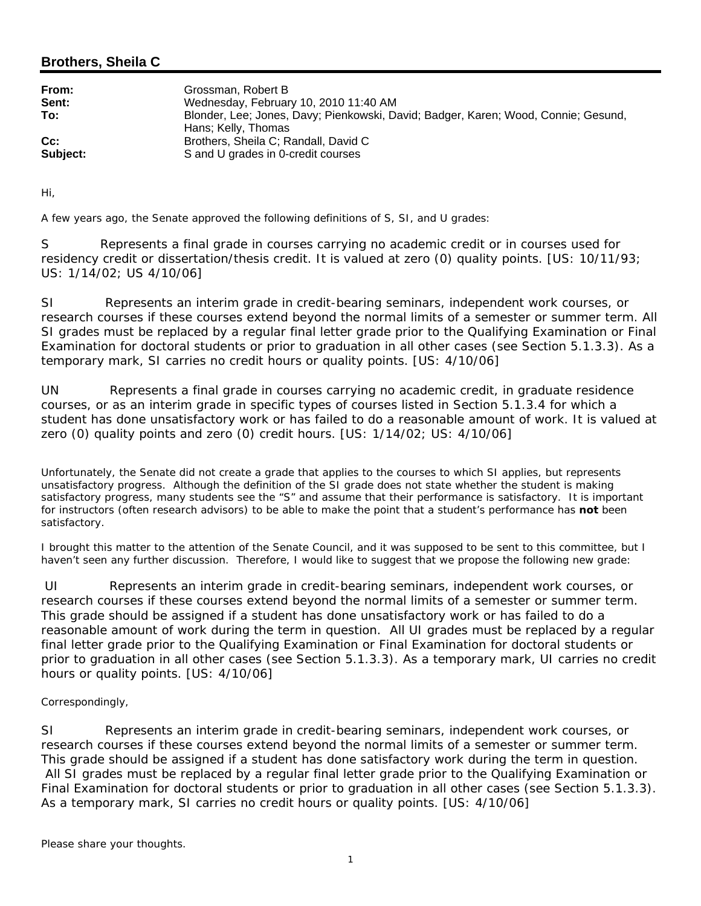## **Brothers, Sheila C**

| From:<br>Sent:     | Grossman, Robert B<br>Wednesday, February 10, 2010 11:40 AM                                       |
|--------------------|---------------------------------------------------------------------------------------------------|
| To:                | Blonder, Lee; Jones, Davy; Pienkowski, David; Badger, Karen; Wood, Connie; Gesund,                |
| $Cc$ :<br>Subject: | Hans; Kelly, Thomas<br>Brothers, Sheila C; Randall, David C<br>S and U grades in 0-credit courses |

Hi,

A few years ago, the Senate approved the following definitions of S, SI, and U grades:

S Represents a final grade in courses carrying no academic credit or in courses used for residency credit or dissertation/thesis credit. It is valued at zero (0) quality points. [US: 10/11/93; US: 1/14/02; US 4/10/06]

SI Represents an interim grade in credit-bearing seminars, independent work courses, or research courses if these courses extend beyond the normal limits of a semester or summer term. All SI grades must be replaced by a regular final letter grade prior to the Qualifying Examination or Final Examination for doctoral students or prior to graduation in all other cases (see Section 5.1.3.3). As a temporary mark, SI carries no credit hours or quality points. [US: 4/10/06]

UN Represents a final grade in courses carrying no academic credit, in graduate residence courses, or as an interim grade in specific types of courses listed in Section 5.1.3.4 for which a student has done unsatisfactory work or has failed to do a reasonable amount of work. It is valued at zero (0) quality points and zero (0) credit hours. [US: 1/14/02; US: 4/10/06]

Unfortunately, the Senate did not create a grade that applies to the courses to which SI applies, but represents unsatisfactory progress. Although the definition of the SI grade does not state whether the student is making satisfactory progress, many students see the "S" and assume that their performance is satisfactory. It is important for instructors (often research advisors) to be able to make the point that a student's performance has **not** been satisfactory.

I brought this matter to the attention of the Senate Council, and it was supposed to be sent to this committee, but I haven't seen any further discussion. Therefore, I would like to suggest that we propose the following new grade:

UI Represents an interim grade in credit-bearing seminars, independent work courses, or research courses if these courses extend beyond the normal limits of a semester or summer term. This grade should be assigned if a student has done unsatisfactory work or has failed to do a reasonable amount of work during the term in question. All UI grades must be replaced by a regular final letter grade prior to the Qualifying Examination or Final Examination for doctoral students or prior to graduation in all other cases (see Section 5.1.3.3). As a temporary mark, UI carries no credit hours or quality points. [US: 4/10/06]

## Correspondingly,

SI Represents an interim grade in credit-bearing seminars, independent work courses, or research courses if these courses extend beyond the normal limits of a semester or summer term. This grade should be assigned if a student has done satisfactory work during the term in question. All SI grades must be replaced by a regular final letter grade prior to the Qualifying Examination or Final Examination for doctoral students or prior to graduation in all other cases (see Section 5.1.3.3). As a temporary mark, SI carries no credit hours or quality points. [US: 4/10/06]